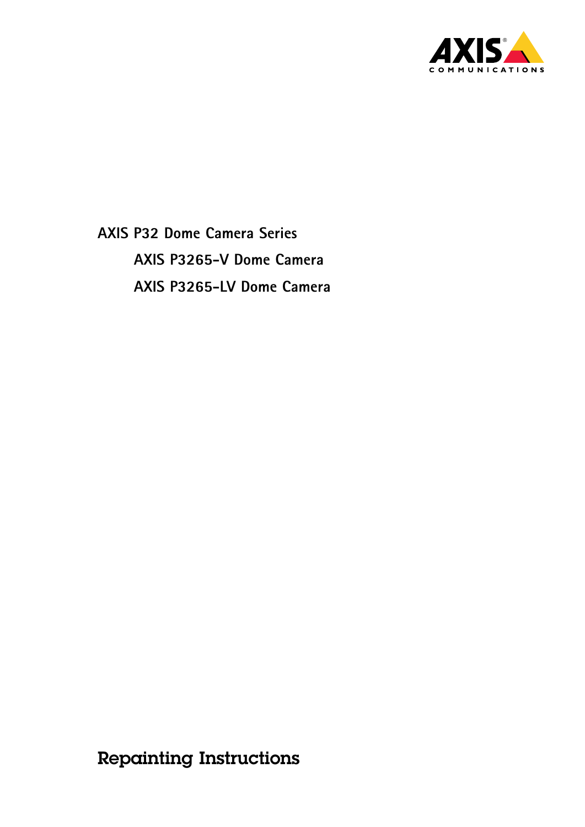

**AXIS P32 Dome Camera Series AXIS P3265-V Dome Camera AXIS P3265-LV Dome Camera**

Repainting Instructions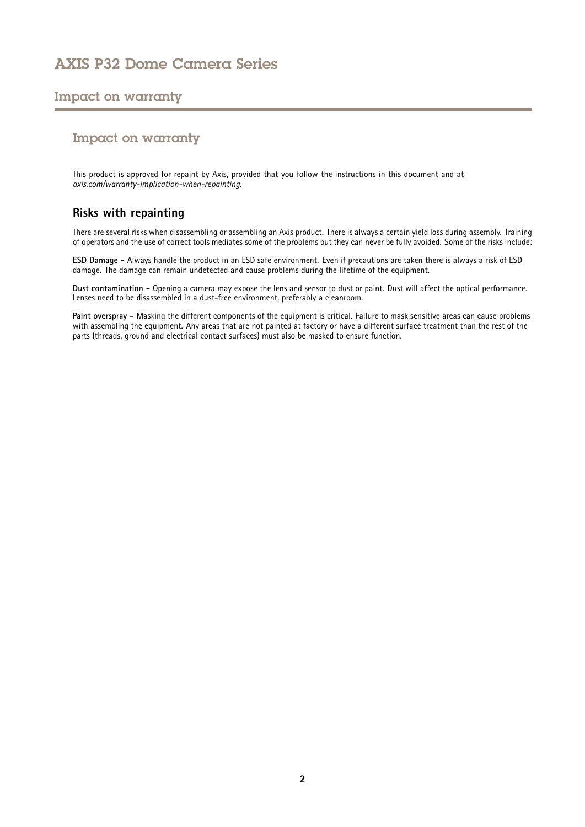# AXIS P32 Dome Camera Series

## Impact on warranty

### Impact on warranty

This product is approved for repaint by Axis, provided that you follow the instructions in this document and at *[axis.com/warranty-implication-when-repainting](https://www.axis.com/warranty-implication-when-repainting)*.

### **Risks with repainting**

There are several risks when disassembling or assembling an Axis product. There is always <sup>a</sup> certain yield loss during assembly. Training of operators and the use of correct tools mediates some of the problems but they can never be fully avoided. Some of the risks include:

**ESD Damage -** Always handle the product in an ESD safe environment. Even if precautions are taken there is always <sup>a</sup> risk of ESD damage. The damage can remain undetected and cause problems during the lifetime of the equipment.

**Dust contamination -** Opening <sup>a</sup> camera may expose the lens and sensor to dust or paint. Dust will affect the optical performance. Lenses need to be disassembled in <sup>a</sup> dust-free environment, preferably <sup>a</sup> cleanroom.

**Paint overspray -** Masking the different components of the equipment is critical. Failure to mask sensitive areas can cause problems with assembling the equipment. Any areas that are not painted at factory or have <sup>a</sup> different surface treatment than the rest of the parts (threads, ground and electrical contact surfaces) must also be masked to ensure function.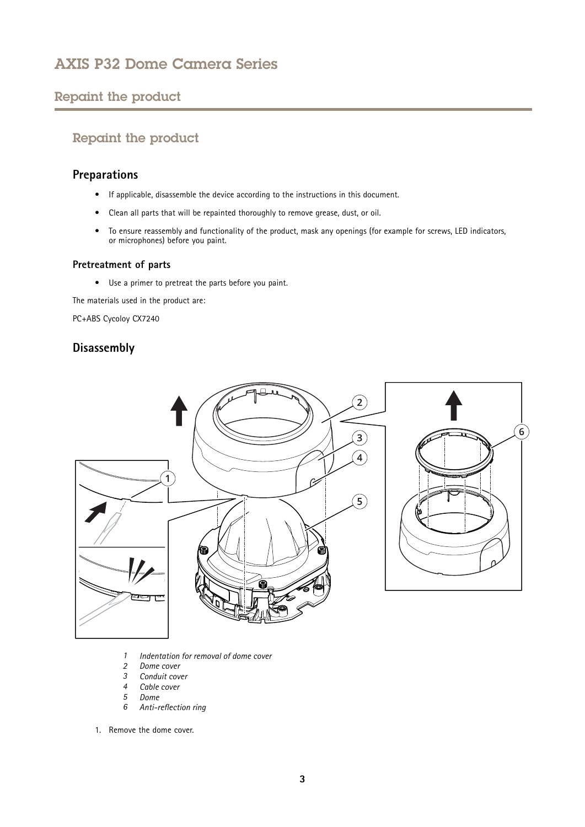# <span id="page-2-0"></span>AXIS P32 Dome Camera Series

# Repaint the product

# Repaint the product

## **Preparations**

- If applicable, disassemble the device according to the instructions in this document.
- Clean all parts that will be repainted thoroughly to remove grease, dust, or oil.
- • To ensure reassembly and functionality of the product, mask any openings (for example for screws, LED indicators, or microphones) before you paint.

#### **Pretreatment of parts**

• Use <sup>a</sup> primer to pretreat the parts before you paint.

The materials used in the product are:

PC+ABS Cycoloy CX7240

## **Disassembly**



- *1 Indentation for removal of dome cover*
- *2 Dome cover*
- *3 Conduit cover*
- *4 Cable cover*
- *5 Dome*
- *6 Anti-reflection ring*
- 1. Remove the dome cover.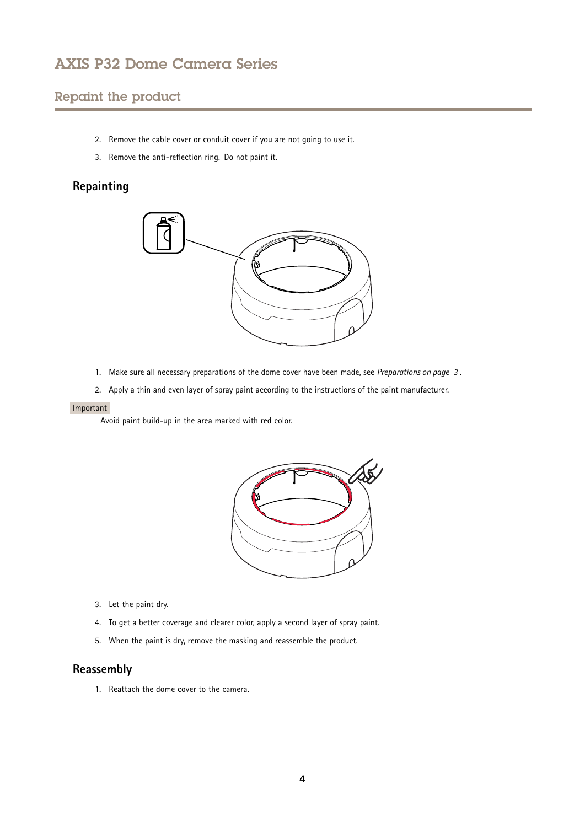# AXIS P32 Dome Camera Series

# Repaint the product

- 2. Remove the cable cover or conduit cover if you are not going to use it.
- 3. Remove the anti-reflection ring. Do not paint it.

## **Repainting**



- 1. Make sure all necessary preparations of the dome cover have been made, see *[Preparations](#page-2-0) on page [3](#page-2-0)* .
- 2. Apply <sup>a</sup> thin and even layer of spray paint according to the instructions of the paint manufacturer.

#### Important

Avoid paint build-up in the area marked with red color.



- 3. Let the paint dry.
- 4. To get <sup>a</sup> better coverage and clearer color, apply <sup>a</sup> second layer of spray paint.
- 5. When the paint is dry, remove the masking and reassemble the product.

#### **Reassembly**

1. Reattach the dome cover to the camera.